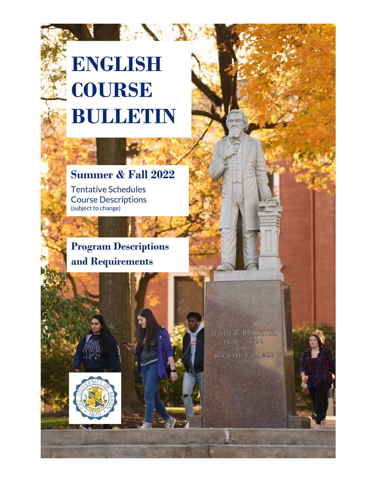# **ENGLISH COURSE BULLETIN**

**The Control of the State** 

### **Summer & Fall 2022**

Tentative Schedules Course Descriptions (subject to change)

**Program Descriptions and Requirements** 

> JOHN R. BUCHLEL  $1820 - 1892$ BUCHTEL COLLEGE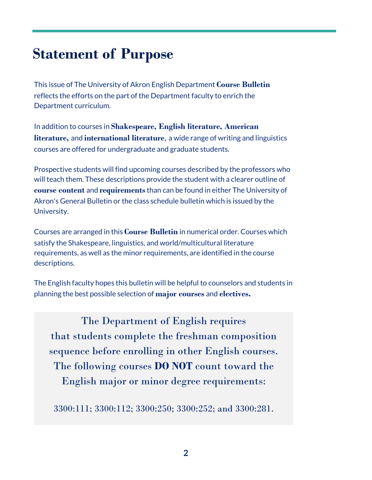## **Statement of Purpose**

This issue of The University of Akron English Department **Course Bulletin** reflects the efforts on the part of the Department faculty to enrich the Department curriculum.

In addition to courses in **Shakespeare, English literature, American literature,** and **international literature**, a wide range of writing and linguistics courses are offered for undergraduate and graduate students.

Prospective students will find upcoming courses described by the professors who will teach them. These descriptions provide the student with a clearer outline of **course content** and **requirements**than can be found in either The University of Akron's General Bulletin or the class schedule bulletin which is issued by the University.

Courses are arranged in this **Course Bulletin** in numerical order. Courses which satisfy the Shakespeare, linguistics, and world/multicultural literature requirements, as well as the minor requirements, are identified in the course descriptions.

The English faculty hopes this bulletin will be helpful to counselors and students in planning the best possible selection of **major courses** and **electives.**

The Department of English requires that students complete the freshman composition sequence before enrolling in other English courses. The following courses **DO NOT** count toward the English major or minor degree requirements:

3300:111; 3300:112; 3300:250; 3300:252; and 3300:281.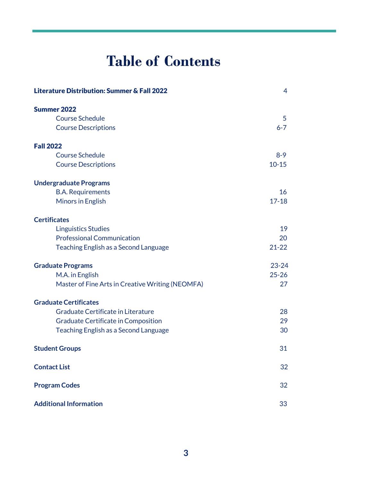## **Table of Contents**

| <b>Literature Distribution: Summer &amp; Fall 2022</b> | 4              |
|--------------------------------------------------------|----------------|
| <b>Summer 2022</b>                                     |                |
| <b>Course Schedule</b>                                 | $\overline{5}$ |
| <b>Course Descriptions</b>                             | $6 - 7$        |
| <b>Fall 2022</b>                                       |                |
| <b>Course Schedule</b>                                 | $8 - 9$        |
| <b>Course Descriptions</b>                             | $10 - 15$      |
| <b>Undergraduate Programs</b>                          |                |
| <b>B.A. Requirements</b>                               | 16             |
| Minors in English                                      | $17 - 18$      |
| <b>Certificates</b>                                    |                |
| <b>Linguistics Studies</b>                             | 19             |
| <b>Professional Communication</b>                      | 20             |
| <b>Teaching English as a Second Language</b>           | $21 - 22$      |
| <b>Graduate Programs</b>                               | $23 - 24$      |
| M.A. in English                                        | $25 - 26$      |
| Master of Fine Arts in Creative Writing (NEOMFA)       | 27             |
| <b>Graduate Certificates</b>                           |                |
| Graduate Certificate in Literature                     | 28             |
| <b>Graduate Certificate in Composition</b>             | 29             |
| <b>Teaching English as a Second Language</b>           | 30             |
| <b>Student Groups</b>                                  | 31             |
| <b>Contact List</b>                                    | 32             |
| <b>Program Codes</b>                                   | 32             |
| <b>Additional Information</b>                          | 33             |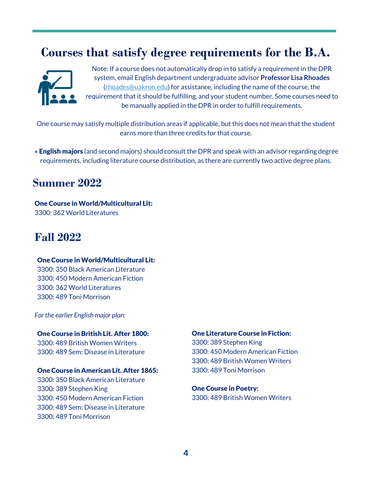## **Courses that satisfy degree requirements for the B.A.**



Note: If a course does not automatically drop in to satisfy a requirement in the DPR system, email English department undergraduate advisor **Professor Lisa Rhoades**  [\(rhoades@uakron.edu\)](mailto:rhoades@uakron.edu) for assistance, including the name of the course, the requirement that it should be fulfilling, and your student number. Some courses need to be manually applied in the DPR in order to fulfill requirements.

One course may satisfy multiple distribution areas if applicable, but this does not mean that the student earns more than three credits for that course.

 **»** English majors (and second majors) should consult the DPR and speak with an advisor regarding degree requirements, including literature course distribution, as there are currently two active degree plans.

### **Summer 2022**

One Course in World/Multicultural Lit: 3300: 362 World Literatures

### **Fall 2022**

#### One Course in World/Multicultural Lit:

 3300: 350 Black American Literature 3300: 450 Modern American Fiction 3300: 362 World Literatures 3300: 489 Toni Morrison

*For the earlier English major plan:*

#### One Course in British Lit. After 1800:

 3300: 489 British Women Writers 3300: 489 Sem: Disease in Literature

#### One Course in American Lit. After 1865:

 3300: 350 Black American Literature 3300: 389 Stephen King 3300: 450 Modern American Fiction 3300: 489 Sem: Disease in Literature 3300: 489 Toni Morrison

#### One Literature Course in Fiction:

3300: 389 Stephen King 3300: 450 Modern American Fiction 3300: 489 British Women Writers 3300: 489 Toni Morrison

#### One Course in Poetry: 3300: 489 British Women Writers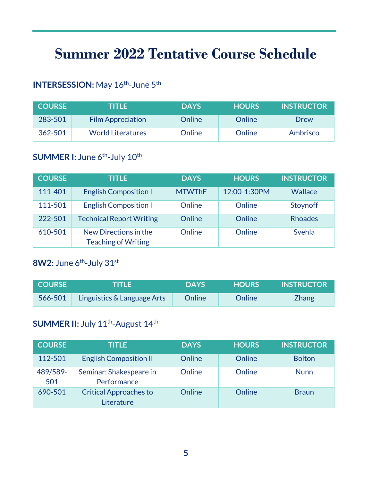## **Summer 2022 Tentative Course Schedule**

### **INTERSESSION:** May 16<sup>th</sup>-June 5<sup>th</sup>

| <b>COURSE</b> | TITLE                    | <b>DAYS</b> | <b>HOURS</b> | <b>INSTRUCTOR</b> |
|---------------|--------------------------|-------------|--------------|-------------------|
| 283-501       | <b>Film Appreciation</b> | Online      | Online       | Drew              |
| 362-501       | <b>World Literatures</b> | Online      | Online       | Ambrisco          |

### **SUMMER I:** June 6<sup>th</sup>-July 10<sup>th</sup>

| <b>COURSE</b> | <b>TITLE</b>                                        | <b>DAYS</b>   | <b>HOURS</b> | <b>INSTRUCTOR</b> |
|---------------|-----------------------------------------------------|---------------|--------------|-------------------|
| 111-401       | <b>English Composition I</b>                        | <b>MTWThF</b> | 12:00-1:30PM | Wallace           |
| 111-501       | <b>English Composition I</b>                        | Online        | Online       | Stoynoff          |
| 222-501       | <b>Technical Report Writing</b>                     | Online        | Online       | <b>Rhoades</b>    |
| 610-501       | New Directions in the<br><b>Teaching of Writing</b> | Online        | Online       | Svehla            |

### **8W2:** June 6<sup>th</sup>-July 31<sup>st</sup>

| <b>COURSE</b> | THE E                       | <b>DAYS</b> | <b>HOURS</b> | <b>INSTRUCTOR</b> |
|---------------|-----------------------------|-------------|--------------|-------------------|
| $566 - 501$   | Linguistics & Language Arts | Online      | Online       | <b>Zhang</b>      |

### **SUMMER II: July 11<sup>th</sup>-August 14<sup>th</sup>**

| <b>COURSE</b>   | TITLE                                       | <b>DAYS</b> | <b>HOURS</b> | <b>INSTRUCTOR</b> |
|-----------------|---------------------------------------------|-------------|--------------|-------------------|
| 112-501         | <b>English Composition II</b>               | Online      | Online       | <b>Bolton</b>     |
| 489/589-<br>501 | Seminar: Shakespeare in<br>Performance      | Online      | Online       | <b>Nunn</b>       |
| 690-501         | <b>Critical Approaches to</b><br>Literature | Online      | Online       | <b>Braun</b>      |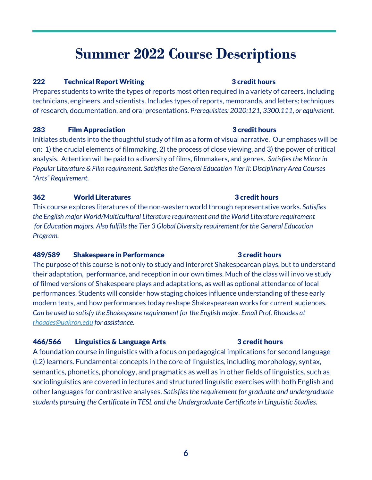## **Summer 2022 Course Descriptions**

#### 222 Technical Report Writing **3** credit hours

Prepares students to write the types of reports most often required in a variety of careers, including technicians, engineers, and scientists. Includes types of reports, memoranda, and letters; techniques of research, documentation, and oral presentations. *Prerequisites: 2020:121, 3300:111, or equivalent.*

#### **283** Film Appreciation **3** credit hours

Initiates students into the thoughtful study of film as a form of visual narrative. Our emphases will be on: 1) the crucial elements of filmmaking, 2) the process of close viewing, and 3) the power of critical analysis. Attention will be paid to a diversity of films, filmmakers, and genres. *Satisfies the Minor in Popular Literature & Film requirement. Satisfies the General Education Tier II: Disciplinary Area Courses "Arts" Requirement.*

#### 362 World Literatures 3 credit hours

This course explores literatures of the non-western world through representative works. *Satisfies the English major World/Multicultural Literature requirement and the World Literature requirement for Education majors. Also fulfills the Tier 3 Global Diversity requirement for the General Education Program.*

#### 489/589 Shakespeare in Performance 3 credit hours

The purpose of this course is not only to study and interpret Shakespearean plays, but to understand their adaptation, performance, and reception in our own times. Much of the class will involve study of filmed versions of Shakespeare plays and adaptations, as well as optional attendance of local performances. Students will consider how staging choices influence understanding of these early modern texts, and how performances today reshape Shakespearean works for current audiences. *Can be used to satisfy the Shakespeare requirement for the English major. Email Prof. Rhoades at [rhoades@uakron.edu](mailto:rhoades@uakron.edu) for assistance.*

#### 466/566 Linguistics & Language Arts 3 credit hours

A foundation course in linguistics with a focus on pedagogical implications for second language (L2) learners. Fundamental concepts in the core of linguistics, including morphology, syntax, semantics, phonetics, phonology, and pragmatics as well as in other fields of linguistics, such as sociolinguistics are covered in lectures and structured linguistic exercises with both English and other languages for contrastive analyses. *Satisfies the requirement for graduate and undergraduate students pursuing the Certificate in TESL and the Undergraduate Certificate in Linguistic Studies.*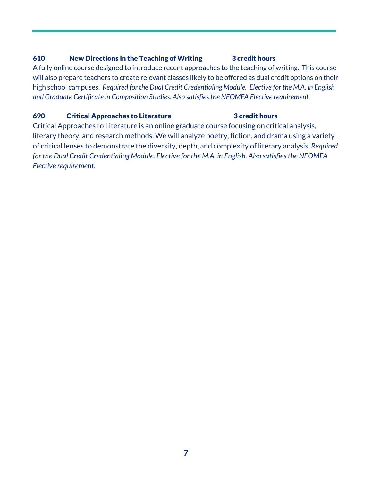#### 610 New Directions in the Teaching of Writing 3 credit hours

A fully online course designed to introduce recent approaches to the teaching of writing. This course will also prepare teachers to create relevant classes likely to be offered as dual credit options on their high school campuses. *Required for the Dual Credit Credentialing Module. Elective for the M.A. in English and Graduate Certificate in Composition Studies. Also satisfies the NEOMFA Elective requirement.*

#### 690 **Critical Approaches to Literature** 3 credit hours

Critical Approaches to Literature is an online graduate course focusing on critical analysis, literary theory, and research methods. We will analyze poetry, fiction, and drama using a variety of critical lenses to demonstrate the diversity, depth, and complexity of literary analysis. *Required for the Dual Credit Credentialing Module. Elective for the M.A. in English. Also satisfies the NEOMFA Elective requirement.*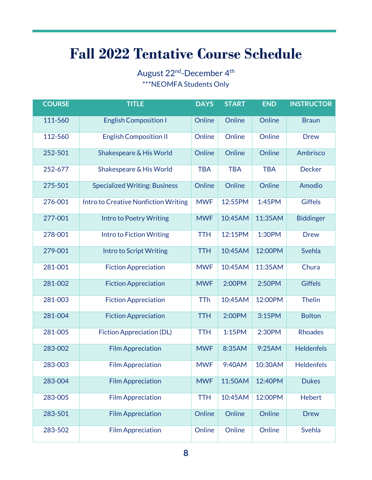## **Fall 2022 Tentative Course Schedule**

August 22<sup>nd</sup>-December 4<sup>th</sup> \*\*\*NEOMFA Students Only

| <b>COURSE</b> | <b>TITLE</b>                         | <b>DAYS</b> | <b>START</b> | <b>END</b> | <b>INSTRUCTOR</b> |
|---------------|--------------------------------------|-------------|--------------|------------|-------------------|
| 111-560       | <b>English Composition I</b>         | Online      | Online       | Online     | <b>Braun</b>      |
| 112-560       | <b>English Composition II</b>        | Online      | Online       | Online     | <b>Drew</b>       |
| 252-501       | Shakespeare & His World              | Online      | Online       | Online     | Ambrisco          |
| 252-677       | Shakespeare & His World              | <b>TBA</b>  | <b>TBA</b>   | <b>TBA</b> | <b>Decker</b>     |
| 275-501       | <b>Specialized Writing: Business</b> | Online      | Online       | Online     | Amodio            |
| 276-001       | Intro to Creative Nonfiction Writing | <b>MWF</b>  | 12:55PM      | 1:45PM     | <b>Giffels</b>    |
| 277-001       | <b>Intro to Poetry Writing</b>       | <b>MWF</b>  | 10:45AM      | 11:35AM    | <b>Biddinger</b>  |
| 278-001       | <b>Intro to Fiction Writing</b>      | <b>TTH</b>  | 12:15PM      | 1:30PM     | <b>Drew</b>       |
| 279-001       | <b>Intro to Script Writing</b>       | <b>TTH</b>  | 10:45AM      | 12:00PM    | Svehla            |
| 281-001       | <b>Fiction Appreciation</b>          | <b>MWF</b>  | 10:45AM      | 11:35AM    | Chura             |
| 281-002       | <b>Fiction Appreciation</b>          | <b>MWF</b>  | 2:00PM       | 2:50PM     | <b>Giffels</b>    |
| 281-003       | <b>Fiction Appreciation</b>          | <b>TTh</b>  | 10:45AM      | 12:00PM    | <b>Thelin</b>     |
| 281-004       | <b>Fiction Appreciation</b>          | <b>TTH</b>  | 2:00PM       | 3:15PM     | <b>Bolton</b>     |
| 281-005       | <b>Fiction Appreciation (DL)</b>     | <b>TTH</b>  | 1:15PM       | 2:30PM     | <b>Rhoades</b>    |
| 283-002       | <b>Film Appreciation</b>             | <b>MWF</b>  | 8:35AM       | 9:25AM     | <b>Heldenfels</b> |
| 283-003       | <b>Film Appreciation</b>             | <b>MWF</b>  | 9:40AM       | 10:30AM    | <b>Heldenfels</b> |
| 283-004       | <b>Film Appreciation</b>             | <b>MWF</b>  | 11:50AM      | 12:40PM    | <b>Dukes</b>      |
| 283-005       | <b>Film Appreciation</b>             | <b>TTH</b>  | 10:45AM      | 12:00PM    | <b>Hebert</b>     |
| 283-501       | <b>Film Appreciation</b>             | Online      | Online       | Online     | <b>Drew</b>       |
| 283-502       | <b>Film Appreciation</b>             | Online      | Online       | Online     | Svehla            |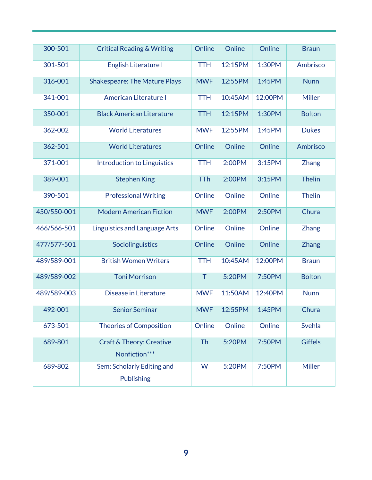| 300-501     | <b>Critical Reading &amp; Writing</b>                | Online     | Online  | Online  | <b>Braun</b>   |
|-------------|------------------------------------------------------|------------|---------|---------|----------------|
| 301-501     | English Literature I                                 | <b>TTH</b> | 12:15PM | 1:30PM  | Ambrisco       |
| 316-001     | <b>Shakespeare: The Mature Plays</b>                 | <b>MWF</b> | 12:55PM | 1:45PM  | <b>Nunn</b>    |
| 341-001     | <b>American Literature I</b>                         | <b>TTH</b> | 10:45AM | 12:00PM | Miller         |
| 350-001     | <b>Black American Literature</b>                     | <b>TTH</b> | 12:15PM | 1:30PM  | <b>Bolton</b>  |
| 362-002     | <b>World Literatures</b>                             | <b>MWF</b> | 12:55PM | 1:45PM  | <b>Dukes</b>   |
| 362-501     | <b>World Literatures</b>                             | Online     | Online  | Online  | Ambrisco       |
| 371-001     | <b>Introduction to Linguistics</b>                   | <b>TTH</b> | 2:00PM  | 3:15PM  | <b>Zhang</b>   |
| 389-001     | <b>Stephen King</b>                                  | <b>TTh</b> | 2:00PM  | 3:15PM  | <b>Thelin</b>  |
| 390-501     | <b>Professional Writing</b>                          | Online     | Online  | Online  | <b>Thelin</b>  |
| 450/550-001 | <b>Modern American Fiction</b>                       | <b>MWF</b> | 2:00PM  | 2:50PM  | Chura          |
| 466/566-501 | <b>Linguistics and Language Arts</b>                 | Online     | Online  | Online  | Zhang          |
| 477/577-501 | Sociolinguistics                                     | Online     | Online  | Online  | <b>Zhang</b>   |
| 489/589-001 | <b>British Women Writers</b>                         | <b>TTH</b> | 10:45AM | 12:00PM | <b>Braun</b>   |
| 489/589-002 | <b>Toni Morrison</b>                                 | T          | 5:20PM  | 7:50PM  | <b>Bolton</b>  |
| 489/589-003 | Disease in Literature                                | <b>MWF</b> | 11:50AM | 12:40PM | <b>Nunn</b>    |
| 492-001     | <b>Senior Seminar</b>                                | <b>MWF</b> | 12:55PM | 1:45PM  | Chura          |
| 673-501     | <b>Theories of Composition</b>                       | Online     | Online  | Online  | Svehla         |
| 689-801     | <b>Craft &amp; Theory: Creative</b><br>Nonfiction*** | Th         | 5:20PM  | 7:50PM  | <b>Giffels</b> |
| 689-802     | Sem: Scholarly Editing and<br>Publishing             | W          | 5:20PM  | 7:50PM  | Miller         |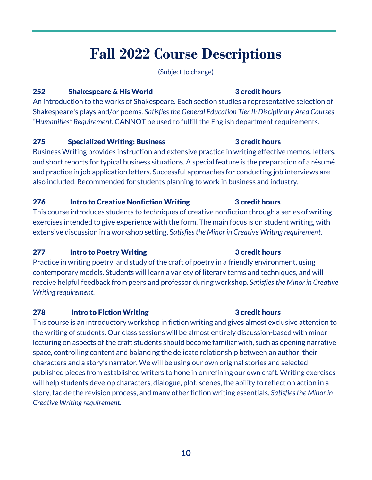## **Fall 2022 Course Descriptions**

(Subject to change)

#### 252 Shakespeare & His World 3 credit hours

An introduction to the works of Shakespeare. Each section studies a representative selection of Shakespeare's plays and/or poems. *Satisfies the General Education Tier II: Disciplinary Area Courses "Humanities" Requirement.* CANNOT be used to fulfill the English department requirements.

#### 275 Specialized Writing: Business 3 credit hours

Business Writing provides instruction and extensive practice in writing effective memos, letters, and short reports for typical business situations. A special feature is the preparation of a résumé and practice in job application letters. Successful approaches for conducting job interviews are also included. Recommended for students planning to work in business and industry.

#### 276 Intro to Creative Nonfiction Writing 3 credit hours

This course introduces students to techniques of creative nonfiction through a series of writing exercises intended to give experience with the form. The main focus is on student writing, with extensive discussion in a workshop setting. S*atisfies the Minor in Creative Writing requirement.*

#### 277 Intro to Poetry Writing **1988 COVERTS** 3 credit hours

Practice in writing poetry, and study of the craft of poetry in a friendly environment, using contemporary models. Students will learn a variety of literary terms and techniques, and will receive helpful feedback from peers and professor during workshop. *Satisfies the Minor in Creative Writing requirement.*

#### 278 Intro to Fiction Writing **1996** 278 3 credit hours

This course is an introductory workshop in fiction writing and gives almost exclusive attention to the writing of students. Our class sessions will be almost entirely discussion-based with minor lecturing on aspects of the craft students should become familiar with, such as opening narrative space, controlling content and balancing the delicate relationship between an author, their characters and a story's narrator. We will be using our own original stories and selected published pieces from established writers to hone in on refining our own craft. Writing exercises will help students develop characters, dialogue, plot, scenes, the ability to reflect on action in a story, tackle the revision process, and many other fiction writing essentials. *Satisfies the Minor in Creative Writing requirement.*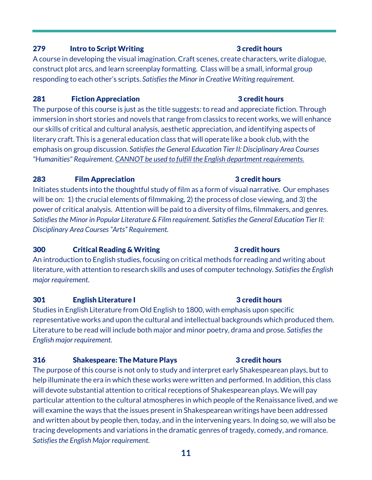#### 279 Intro to Script Writing **1996 Controller Service Service Service S** 3 credit hours

A course in developing the visual imagination. Craft scenes, create characters, write dialogue, construct plot arcs, and learn screenplay formatting. Class will be a small, informal group responding to each other's scripts. *Satisfies the Minor in Creative Writing requirement.*

#### 281 Fiction Appreciation **3** credit hours

The purpose of this course is just as the title suggests: to read and appreciate fiction. Through immersion in short stories and novels that range from classics to recent works, we will enhance our skills of critical and cultural analysis, aesthetic appreciation, and identifying aspects of literary craft. This is a general education class that will operate like a book club, with the emphasis on group discussion. *Satisfies the General Education Tier II: Disciplinary Area Courses "Humanities" Requirement. CANNOT be used to fulfill the English department requirements.*

#### 283 Film Appreciation 3 credit hours

Initiates students into the thoughtful study of film as a form of visual narrative. Our emphases will be on: 1) the crucial elements of filmmaking, 2) the process of close viewing, and 3) the power of critical analysis. Attention will be paid to a diversity of films, filmmakers, and genres. *Satisfies the Minor in Popular Literature & Film requirement. Satisfies the General Education Tier II: Disciplinary Area Courses "Arts" Requirement.*

#### 300 Critical Reading & Writing 300 3 credit hours

An introduction to English studies, focusing on critical methods for reading and writing about literature, with attention to research skills and uses of computer technology*. Satisfies the English major requirement.*

#### 301 English Literature I 301 and 3 credit hours

Studies in English Literature from Old English to 1800, with emphasis upon specific representative works and upon the cultural and intellectual backgrounds which produced them. Literature to be read will include both major and minor poetry, drama and prose. *Satisfies the English major requirement.*

#### 316 Shakespeare: The Mature Plays 3 Credit hours

The purpose of this course is not only to study and interpret early Shakespearean plays, but to help illuminate the era in which these works were written and performed. In addition, this class will devote substantial attention to critical receptions of Shakespearean plays. We will pay particular attention to the cultural atmospheres in which people of the Renaissance lived, and we will examine the ways that the issues present in Shakespearean writings have been addressed and written about by people then, today, and in the intervening years. In doing so, we will also be tracing developments and variations in the dramatic genres of tragedy, comedy, and romance. *Satisfies the English Major requirement.*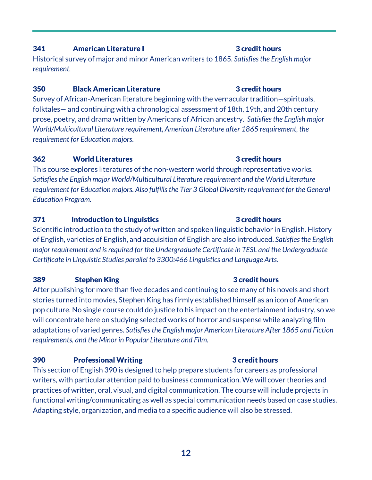### **12**

#### **341** American Literature I 341 3 credit hours

Historical survey of major and minor American writers to 1865. *Satisfies the English major requirement.*

#### 350 Black American Literature 3 credit hours

Survey of African-American literature beginning with the vernacular tradition—spirituals, folktales— and continuing with a chronological assessment of 18th, 19th, and 20th century prose, poetry, and drama written by Americans of African ancestry. *Satisfies the English major World/Multicultural Literature requirement, American Literature after 1865 requirement, the requirement for Education majors.*

#### **362** World Literatures **362 362 World Literatures 362**

This course explores literatures of the non-western world through representative works. *Satisfies the English major World/Multicultural Literature requirement and the World Literature requirement for Education majors. Also fulfills the Tier 3 Global Diversity requirement for the General Education Program.*

#### 371 Introduction to Linguistics 371 3 credit hours

Scientific introduction to the study of written and spoken linguistic behavior in English. History of English, varieties of English, and acquisition of English are also introduced. *Satisfies the English major requirement and is required for the Undergraduate Certificate in TESL and the Undergraduate Certificate in Linguistic Studies parallel to 3300:466 Linguistics and Language Arts.*

#### **389** Stephen King **389** Stephen King **3** credit hours

After publishing for more than five decades and continuing to see many of his novels and short stories turned into movies, Stephen King has firmly established himself as an icon of American pop culture. No single course could do justice to his impact on the entertainment industry, so we will concentrate here on studying selected works of horror and suspense while analyzing film adaptations of varied genres. *Satisfies the English major American Literature After 1865 and Fiction requirements, and the Minor in Popular Literature and Film.*

#### 390 Professional Writing 3 credit hours

This section of English 390 is designed to help prepare students for careers as professional writers, with particular attention paid to business communication. We will cover theories and practices of written, oral, visual, and digital communication. The course will include projects in functional writing/communicating as well as special communication needs based on case studies. Adapting style, organization, and media to a specific audience will also be stressed.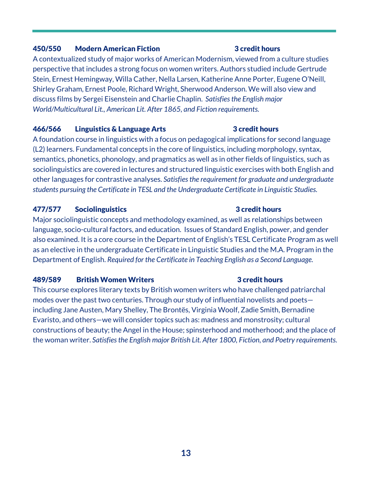#### 450/550 Modern American Fiction 3 credit hours

A contextualized study of major works of American Modernism, viewed from a culture studies perspective that includes a strong focus on women writers. Authors studied include Gertrude Stein, Ernest Hemingway, Willa Cather, Nella Larsen, Katherine Anne Porter, Eugene O'Neill, Shirley Graham, Ernest Poole, Richard Wright, Sherwood Anderson. We will also view and discuss films by Sergei Eisenstein and Charlie Chaplin. *Satisfies the English major World/Multicultural Lit., American Lit. After 1865, and Fiction requirements.*

#### 466/566 Linguistics & Language Arts 3 credit hours

A foundation course in linguistics with a focus on pedagogical implications for second language (L2) learners. Fundamental concepts in the core of linguistics, including morphology, syntax, semantics, phonetics, phonology, and pragmatics as well as in other fields of linguistics, such as sociolinguistics are covered in lectures and structured linguistic exercises with both English and other languages for contrastive analyses. *Satisfies the requirement for graduate and undergraduate students pursuing the Certificate in TESL and the Undergraduate Certificate in Linguistic Studies.*

#### 477/577 Sociolinguistics 3 credit hours

Major sociolinguistic concepts and methodology examined, as well as relationships between language, socio-cultural factors, and education. Issues of Standard English, power, and gender also examined. It is a core course in the Department of English's TESL Certificate Program as well as an elective in the undergraduate Certificate in Linguistic Studies and the M.A. Program in the Department of English. *Required for the Certificate in Teaching English as a Second Language.*

#### 489/589 British Women Writers **3** credit hours

This course explores literary texts by British women writers who have challenged patriarchal modes over the past two centuries. Through our study of influential novelists and poets including Jane Austen, Mary Shelley, The Brontës, Virginia Woolf, Zadie Smith, Bernadine Evaristo, and others—we will consider topics such as: madness and monstrosity; cultural constructions of beauty; the Angel in the House; spinsterhood and motherhood; and the place of the woman writer. *Satisfies the English major British Lit. After 1800, Fiction, and Poetry requirements.*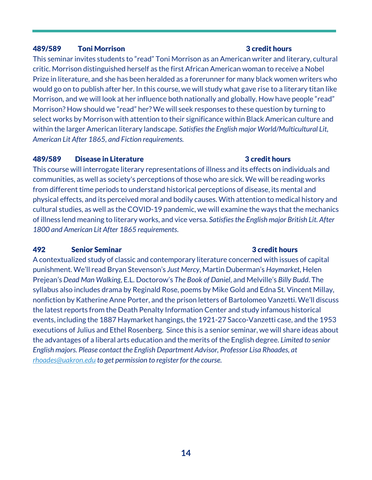#### 489/589 Toni Morrison 3 credit hours

This seminar invites students to "read" Toni Morrison as an American writer and literary, cultural critic. Morrison distinguished herself as the first African American woman to receive a Nobel Prize in literature, and she has been heralded as a forerunner for many black women writers who would go on to publish after her. In this course, we will study what gave rise to a literary titan like Morrison, and we will look at her influence both nationally and globally. How have people "read" Morrison? How should we "read" her? We will seek responses to these question by turning to select works by Morrison with attention to their significance within Black American culture and within the larger American literary landscape. *Satisfies the English major World/Multicultural Lit, American Lit After 1865, and Fiction requirements.*

#### 489/589 Disease in Literature **3** credit hours

This course will interrogate literary representations of illness and its effects on individuals and communities, as well as society's perceptions of those who are sick. We will be reading works from different time periods to understand historical perceptions of disease, its mental and physical effects, and its perceived moral and bodily causes. With attention to medical history and cultural studies, as well as the COVID-19 pandemic, we will examine the ways that the mechanics of illness lend meaning to literary works, and vice versa. *Satisfies the English major British Lit. After 1800 and American Lit After 1865 requirements.*

#### 492 Senior Seminar 3 credit hours

A contextualized study of classic and contemporary literature concerned with issues of capital punishment. We'll read Bryan Stevenson's *Just Mercy*, Martin Duberman's *Haymarket*, Helen Prejean's *Dead Man Walking*, E.L. Doctorow's *The Book of Daniel*, and Melville's *Billy Budd*. The syllabus also includes drama by Reginald Rose, poems by Mike Gold and Edna St. Vincent Millay, nonfiction by Katherine Anne Porter, and the prison letters of Bartolomeo Vanzetti. We'll discuss the latest reports from the Death Penalty Information Center and study infamous historical events, including the 1887 Haymarket hangings, the 1921-27 Sacco-Vanzetti case, and the 1953 executions of Julius and Ethel Rosenberg. Since this is a senior seminar, we will share ideas about the advantages of a liberal arts education and the merits of the English degree. *Limited to senior English majors. Please contact the English Department Advisor, Professor Lisa Rhoades, at [rhoades@uakron.edu](mailto:rhoades@uakron.edu) to get permission to register for the course.*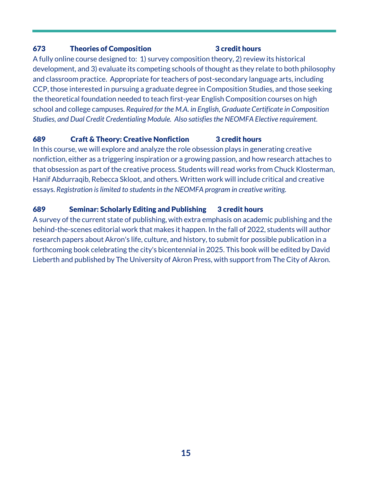#### 673 Theories of Composition 3 credit hours

A fully online course designed to: 1) survey composition theory, 2) review its historical development, and 3) evaluate its competing schools of thought as they relate to both philosophy and classroom practice. Appropriate for teachers of post-secondary language arts, including CCP, those interested in pursuing a graduate degree in Composition Studies, and those seeking the theoretical foundation needed to teach first-year English Composition courses on high school and college campuses. *Required for the M.A. in English, Graduate Certificate in Composition Studies, and Dual Credit Credentialing Module. Also satisfies the NEOMFA Elective requirement.*

#### 689 Craft & Theory: Creative Nonfiction 3 credit hours

In this course, we will explore and analyze the role obsession plays in generating creative nonfiction, either as a triggering inspiration or a growing passion, and how research attaches to that obsession as part of the creative process. Students will read works from Chuck Klosterman, Hanif Abdurraqib, Rebecca Skloot, and others. Written work will include critical and creative essays. *Registration is limited to students in the NEOMFA program in creative writing.*

#### 689 Seminar: Scholarly Editing and Publishing 3 credit hours

A survey of the current state of publishing, with extra emphasis on academic publishing and the behind-the-scenes editorial work that makes it happen. In the fall of 2022, students will author research papers about Akron's life, culture, and history, to submit for possible publication in a forthcoming book celebrating the city's bicentennial in 2025. This book will be edited by David Lieberth and published by The University of Akron Press, with support from The City of Akron.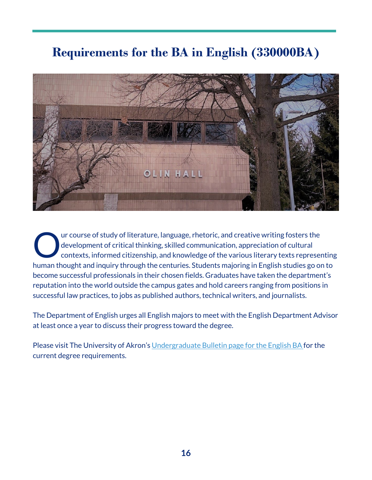## **Requirements for the BA in English (330000BA)**



ur course of study of literature, language, rhetoric, and creative writing fosters the development of critical thinking, skilled communication, appreciation of cultural contexts, informed citizenship, and knowledge of the various literary texts representing human thought and inquiry through the centuries. Students majoring in English studies go on to become successful professionals in their chosen fields. Graduates have taken the department's reputation into the world outside the campus gates and hold careers ranging from positions in successful law practices, to jobs as published authors, technical writers, and journalists. O

The Department of English urges all English majors to meet with the English Department Advisor at least once a year to discuss their progress toward the degree.

Please visit The University of Akron's [Undergraduate Bulletin page for the English BA f](https://bulletin.uakron.edu/undergraduate/colleges-programs/arts-sciences/english/english-ba/#requirementstext)or the current degree requirements.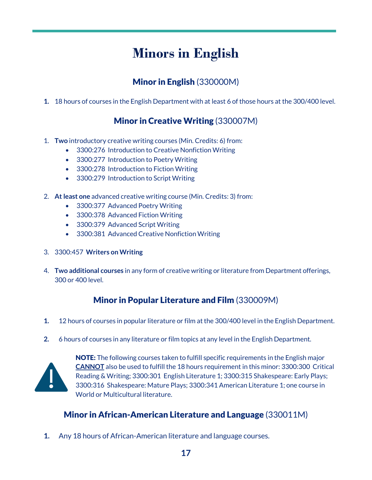## **Minors in English**

### Minor in English (330000M)

**1.** 18 hours of courses in the English Department with at least 6 of those hours at the 300/400 level.

### Minor in Creative Writing (330007M)

- 1. **Two** introductory creative writing courses (Min. Credits: 6) from:
	- 3300:276 Introduction to Creative Nonfiction Writing
	- 3300:277 Introduction to Poetry Writing
	- 3300:278 Introduction to Fiction Writing
	- 3300:279 Introduction to Script Writing
- 2. **At least one** advanced creative writing course (Min. Credits: 3) from:
	- 3300:377 Advanced Poetry Writing
	- 3300:378 Advanced Fiction Writing
	- 3300:379 Advanced Script Writing
	- 3300:381 Advanced Creative Nonfiction Writing
- 3. 3300:457 **Writers on Writing**
- 4. **Two additional courses** in any form of creative writing or literature from Department offerings, 300 or 400 level.

#### Minor in Popular Literature and Film (330009M)

- **1.** 12 hours of courses in popular literature or film at the 300/400 level in the English Department.
- **2.** 6 hours of courses in any literature or film topics at any level in the English Department.



**NOTE:** The following courses taken to fulfill specific requirements in the English major **CANNOT** also be used to fulfill the 18 hours requirement in this minor: 3300:300 Critical Reading & Writing; 3300:301 English Literature 1; 3300:315 Shakespeare: Early Plays; 3300:316 Shakespeare: Mature Plays; 3300:341 American Literature 1; one course in World or Multicultural literature.

### Minor in African-American Literature and Language (330011M)

**1.** Any 18 hours of African-American literature and language courses.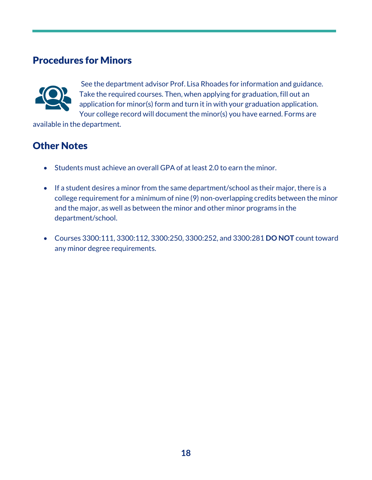### Procedures for Minors



See the department advisor Prof. Lisa Rhoades for information and guidance. Take the required courses. Then, when applying for graduation, fill out an application for minor(s) form and turn it in with your graduation application. Your college record will document the minor(s) you have earned. Forms are

available in the department.

### Other Notes

- Students must achieve an overall GPA of at least 2.0 to earn the minor.
- If a student desires a minor from the same department/school as their major, there is a college requirement for a minimum of nine (9) non-overlapping credits between the minor and the major, as well as between the minor and other minor programs in the department/school.
- Courses 3300:111, 3300:112, 3300:250, 3300:252, and 3300:281 **DO NOT** count toward any minor degree requirements.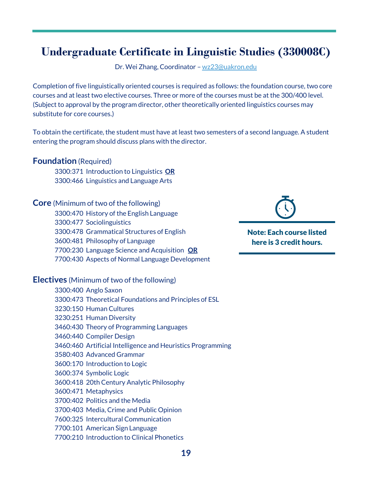## **Undergraduate Certificate in Linguistic Studies (330008C)**

Dr. Wei Zhang, Coordinator – [wz23@uakron.edu](mailto:wz23@uakron.edu) 

Completion of five linguistically oriented courses is required as follows: the foundation course, two core courses and at least two elective courses. Three or more of the courses must be at the 300/400 level. (Subject to approval by the program director, other theoretically oriented linguistics courses may substitute for core courses.)

To obtain the certificate, the student must have at least two semesters of a second language. A student entering the program should discuss plans with the director.

#### **Foundation** (Required)

3300:371 Introduction to Linguistics **OR** 3300:466 Linguistics and Language Arts

#### **Core** (Minimum of two of the following)

- 3300:470 History of the English Language
- 3300:477 Sociolinguistics
- 3300:478 Grammatical Structures of English
- 3600:481 Philosophy of Language
- 7700:230 Language Science and Acquisition **OR**
- 7700:430 Aspects of Normal Language Development

#### **Electives** (Minimum of two of the following)

|  | 3300:400 Anglo Saxon                                        |
|--|-------------------------------------------------------------|
|  | 3300:473 Theoretical Foundations and Principles of ESL      |
|  | 3230:150 Human Cultures                                     |
|  | 3230:251 Human Diversity                                    |
|  | 3460:430 Theory of Programming Languages                    |
|  | 3460:440 Compiler Design                                    |
|  | 3460:460 Artificial Intelligence and Heuristics Programming |
|  | 3580:403 Advanced Grammar                                   |
|  | 3600:170 Introduction to Logic                              |
|  | 3600:374 Symbolic Logic                                     |
|  | 3600:418 20th Century Analytic Philosophy                   |
|  | 3600:471 Metaphysics                                        |
|  | 3700:402 Politics and the Media                             |
|  | 3700:403 Media, Crime and Public Opinion                    |
|  | 7600:325 Intercultural Communication                        |
|  | 7700:101 American Sign Language                             |
|  | 7700:210 Introduction to Clinical Phonetics                 |
|  |                                                             |



Note: Each course listed here is 3 credit hours.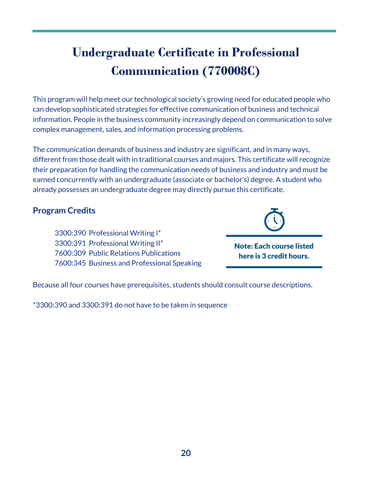## **Undergraduate Certificate in Professional Communication (770008C)**

This program will help meet our technological society's growing need for educated people who can develop sophisticated strategies for effective communication of business and technical information. People in the business community increasingly depend on communication to solve complex management, sales, and information processing problems.

The communication demands of business and industry are significant, and in many ways, different from those dealt with in traditional courses and majors. This certificate will recognize their preparation for handling the communication needs of business and industry and must be earned concurrently with an undergraduate (associate or bachelor's) degree. A student who already possesses an undergraduate degree may directly pursue this certificate.

#### **Program Credits**



3300:390 Professional Writing I\* 3300:391 Professional Writing II\* 7600:309 Public Relations Publications 7600:345 Business and Professional Speaking

Note: Each course listed here is 3 credit hours.

Because all four courses have prerequisites, students should consult course descriptions.

\*3300:390 and 3300:391 do not have to be taken in sequence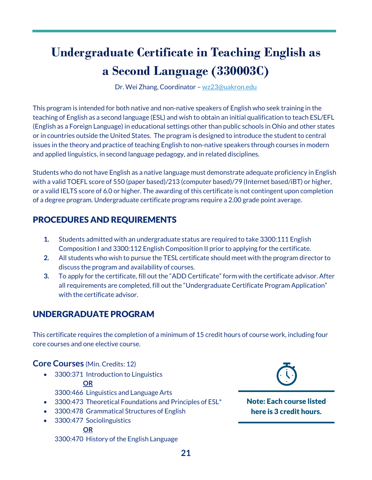## **Undergraduate Certificate in Teaching English as a Second Language (330003C)**

Dr. Wei Zhang, Coordinator – [wz23@uakron.edu](mailto:wz23@uakron.edu) 

This program is intended for both native and non-native speakers of English who seek training in the teaching of English as a second language (ESL) and wish to obtain an initial qualification to teach ESL/EFL (English as a Foreign Language) in educational settings other than public schools in Ohio and other states or in countries outside the United States. The program is designed to introduce the student to central issues in the theory and practice of teaching English to non-native speakers through courses in modern and applied linguistics, in second language pedagogy, and in related disciplines.

Students who do not have English as a native language must demonstrate adequate proficiency in English with a valid TOEFL score of 550 (paper based)/213 (computer based)/79 (Internet based/iBT) or higher, or a valid IELTS score of 6.0 or higher. The awarding of this certificate is not contingent upon completion of a degree program. Undergraduate certificate programs require a 2.00 grade point average.

### PROCEDURES AND REQUIREMENTS

- **1.** Students admitted with an undergraduate status are required to take 3300:111 English Composition I and 3300:112 English Composition II prior to applying for the certificate.
- **2.** All students who wish to pursue the TESL certificate should meet with the program director to discuss the program and availability of courses.
- **3.** To apply for the certificate, fill out the "ADD Certificate" form with the certificate advisor. After all requirements are completed, fill out the "Undergraduate Certificate Program Application" with the certificate advisor.

### UNDERGRADUATE PROGRAM

This certificate requires the completion of a minimum of 15 credit hours of course work, including four core courses and one elective course.

#### **Core Courses** (Min. Credits: 12)

• 3300:371 Introduction to Linguistics

#### **OR**

3300:466 Linguistics and Language Arts

- 3300:473 Theoretical Foundations and Principles of ESL\*
- 3300:478 Grammatical Structures of English
- 3300:477 Sociolinguistics

#### **OR**

3300:470 History of the English Language



Note: Each course listed here is 3 credit hours.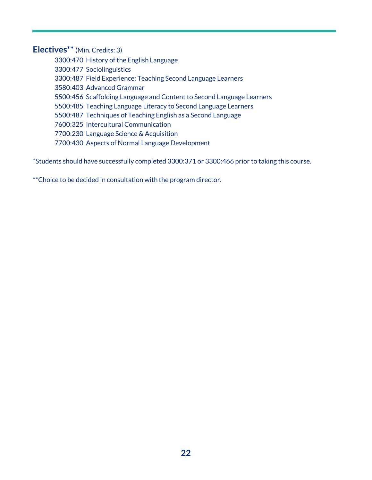#### **Electives\*\*** (Min. Credits: 3)

- 3300:470 History of the English Language
- 3300:477 Sociolinguistics
- 3300:487 Field Experience: Teaching Second Language Learners
- 3580:403 Advanced Grammar
- 5500:456 Scaffolding Language and Content to Second Language Learners
- 5500:485 Teaching Language Literacy to Second Language Learners
- 5500:487 Techniques of Teaching English as a Second Language
- 7600:325 Intercultural Communication
- 7700:230 Language Science & Acquisition
- 7700:430 Aspects of Normal Language Development

\*Students should have successfully completed 3300:371 or 3300:466 prior to taking this course.

\*\*Choice to be decided in consultation with the program director.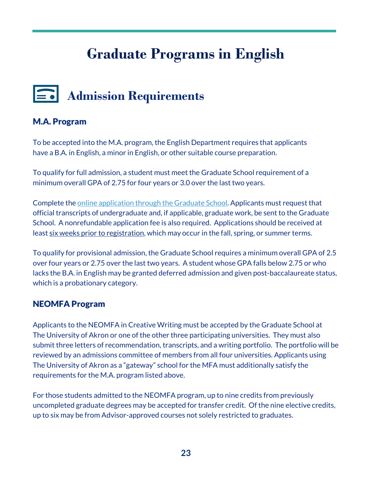## **Graduate Programs in English**

## **Admission Requirements**

#### M.A. Program

To be accepted into the M.A. program, the English Department requires that applicants have a B.A. in English, a minor in English, or other suitable course preparation.

To qualify for full admission, a student must meet the Graduate School requirement of a minimum overall GPA of 2.75 for four years or 3.0 over the last two years.

Complete th[e online application through the Graduate School.](https://applyuakrongrad.force.com/apply/TX_SiteLogin?startURL=%2Fapply%2FTargetX_Portal__PB) Applicants must request that official transcripts of undergraduate and, if applicable, graduate work, be sent to the Graduate School. A nonrefundable application fee is also required. Applications should be received at least six weeks prior to registration, which may occur in the fall, spring, or summer terms.

To qualify for provisional admission, the Graduate School requires a minimum overall GPA of 2.5 over four years or 2.75 over the last two years. A student whose GPA falls below 2.75 or who lacks the B.A. in English may be granted deferred admission and given post-baccalaureate status, which is a probationary category.

#### NEOMFA Program

Applicants to the NEOMFA in Creative Writing must be accepted by the Graduate School at The University of Akron or one of the other three participating universities. They must also submit three letters of recommendation, transcripts, and a writing portfolio. The portfolio will be reviewed by an admissions committee of members from all four universities. Applicants using The University of Akron as a "gateway" school for the MFA must additionally satisfy the requirements for the M.A. program listed above.

For those students admitted to the NEOMFA program, up to nine credits from previously uncompleted graduate degrees may be accepted for transfer credit. Of the nine elective credits, up to six may be from Advisor-approved courses not solely restricted to graduates.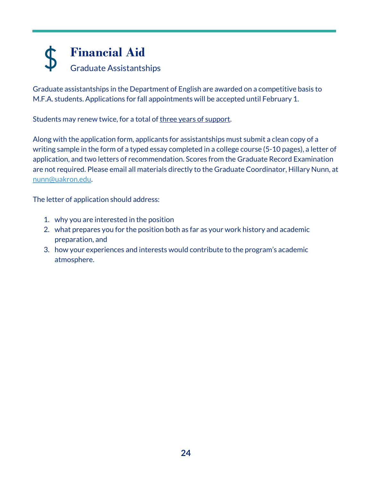## **Financial Aid**  Graduate Assistantships

Graduate assistantships in the Department of English are awarded on a competitive basis to M.F.A. students. Applications for fall appointments will be accepted until February 1.

Students may renew twice, for a total of three years of support.

Along with the application form, applicants for assistantships must submit a clean copy of a writing sample in the form of a typed essay completed in a college course (5-10 pages), a letter of application, and two letters of recommendation. Scores from the Graduate Record Examination are not required. Please email all materials directly to the Graduate Coordinator, Hillary Nunn, at [nunn@uakron.edu.](mailto:nunn@uakron.edu)

The letter of application should address:

- 1. why you are interested in the position
- 2. what prepares you for the position both as far as your work history and academic preparation, and
- 3. how your experiences and interests would contribute to the program's academic atmosphere.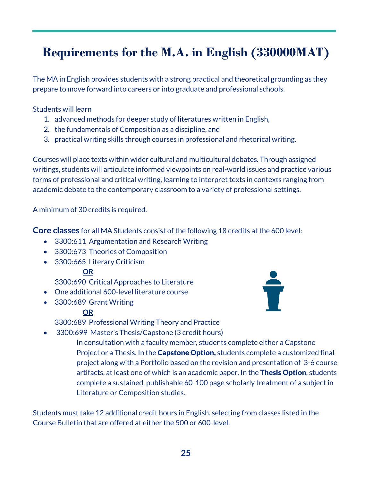## **Requirements for the M.A. in English (330000MAT)**

The MA in English provides students with a strong practical and theoretical grounding as they prepare to move forward into careers or into graduate and professional schools.

Students will learn

- 1. advanced methods for deeper study of literatures written in English,
- 2. the fundamentals of Composition as a discipline, and
- 3. practical writing skills through courses in professional and rhetorical writing.

Courses will place texts within wider cultural and multicultural debates. Through assigned writings, students will articulate informed viewpoints on real-world issues and practice various forms of professional and critical writing, learning to interpret texts in contexts ranging from academic debate to the contemporary classroom to a variety of professional settings.

A minimum of 30 credits is required.

**Core classes** for all MA Students consist of the following 18 credits at the 600 level:

- 3300:611 Argumentation and Research Writing
- 3300:673 Theories of Composition
- 3300:665 Literary Criticism

#### **OR**

3300:690 Critical Approaches to Literature

- One additional 600-level literature course
- 3300:689 Grant Writing

#### **OR**

3300:689 Professional Writing Theory and Practice

• 3300:699 Master's Thesis/Capstone (3 credit hours)

In consultation with a faculty member, students complete either a Capstone Project or a Thesis. In the **Capstone Option**, students complete a customized final project along with a Portfolio based on the revision and presentation of 3-6 course artifacts, at least one of which is an academic paper. In the Thesis Option, students complete a sustained, publishable 60-100 page scholarly treatment of a subject in Literature or Composition studies.

Students must take 12 additional credit hours in English, selecting from classes listed in the Course Bulletin that are offered at either the 500 or 600-level.

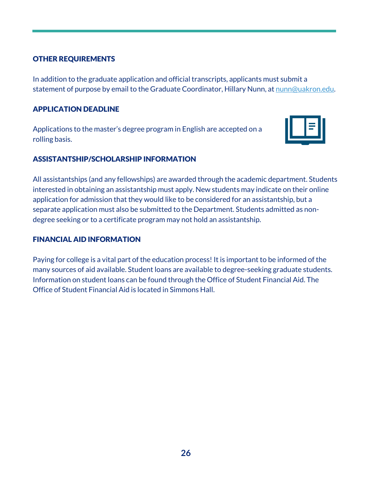#### OTHER REQUIREMENTS

In addition to the graduate application and official transcripts, applicants must submit a statement of purpose by email to the Graduate Coordinator, Hillary Nunn, at [nunn@uakron.edu.](mailto:nunn@uakron.edu)

#### APPLICATION DEADLINE

Applications to the master's degree program in English are accepted on a rolling basis.



#### ASSISTANTSHIP/SCHOLARSHIP INFORMATION

All assistantships (and any fellowships) are awarded through the academic department. Students interested in obtaining an assistantship must apply. New students may indicate on their online application for admission that they would like to be considered for an assistantship, but a separate application must also be submitted to the Department. Students admitted as nondegree seeking or to a certificate program may not hold an assistantship.

#### FINANCIAL AID INFORMATION

Paying for college is a vital part of the education process! It is important to be informed of the many sources of aid available. Student loans are available to degree-seeking graduate students. Information on student loans can be found through the Office of Student Financial Aid. The Office of Student Financial Aid is located in Simmons Hall.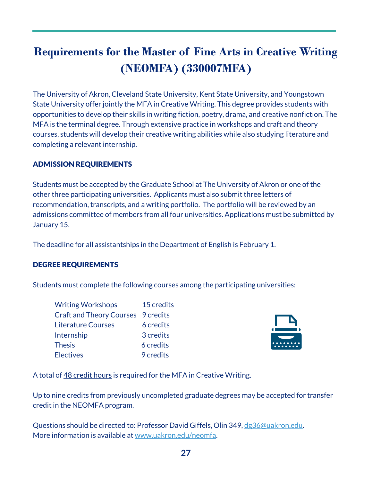## **Requirements for the Master of Fine Arts in Creative Writing (NEOMFA) (330007MFA)**

The University of Akron, Cleveland State University, Kent State University, and Youngstown State University offer jointly the MFA in Creative Writing. This degree provides students with opportunities to develop their skills in writing fiction, poetry, drama, and creative nonfiction. The MFA is the terminal degree. Through extensive practice in workshops and craft and theory courses, students will develop their creative writing abilities while also studying literature and completing a relevant internship.

#### ADMISSION REQUIREMENTS

Students must be accepted by the Graduate School at The University of Akron or one of the other three participating universities. Applicants must also submit three letters of recommendation, transcripts, and a writing portfolio. The portfolio will be reviewed by an admissions committee of members from all four universities. Applications must be submitted by January 15.

The deadline for all assistantships in the Department of English is February 1.

#### DEGREE REQUIREMENTS

Students must complete the following courses among the participating universities:

| <b>Writing Workshops</b>                  | 15 credits |
|-------------------------------------------|------------|
| <b>Craft and Theory Courses</b> 9 credits |            |
| <b>Literature Courses</b>                 | 6 credits  |
| Internship                                | 3 credits  |
| <b>Thesis</b>                             | 6 credits  |
| <b>Electives</b>                          | 9 credits  |



A total of 48 credit hours is required for the MFA in Creative Writing.

Up to nine credits from previously uncompleted graduate degrees may be accepted for transfer credit in the NEOMFA program.

Questions should be directed to: Professor David Giffels, Olin 349, [dg36@uakron.edu.](mailto:dg36@uakron.edu) More information is available at [www.uakron.edu/neomfa.](http://www.uakron.edu/neomfa)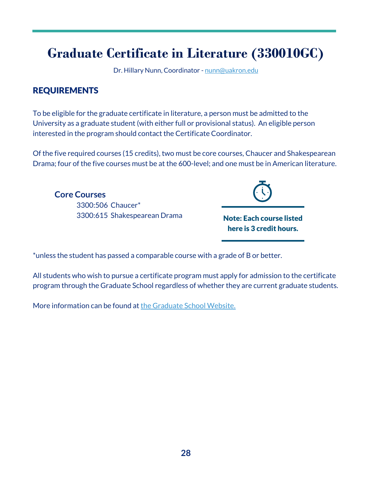## **Graduate Certificate in Literature (330010GC)**

Dr. Hillary Nunn, Coordinator [- nunn@uakron.edu](mailto:nunn@uakron.edu) 

#### REQUIREMENTS

To be eligible for the graduate certificate in literature, a person must be admitted to the University as a graduate student (with either full or provisional status). An eligible person interested in the program should contact the Certificate Coordinator.

Of the five required courses (15 credits), two must be core courses, Chaucer and Shakespearean Drama; four of the five courses must be at the 600-level; and one must be in American literature.

**Core Courses** 3300:506 Chaucer\* 3300:615 Shakespearean Drama



Note: Each course listed here is 3 credit hours.

\*unless the student has passed a comparable course with a grade of B or better.

All students who wish to pursue a certificate program must apply for admission to the certificate program through the Graduate School regardless of whether they are current graduate students.

More information can be found a[t the Graduate School Website.](https://www.uakron.edu/graduate/)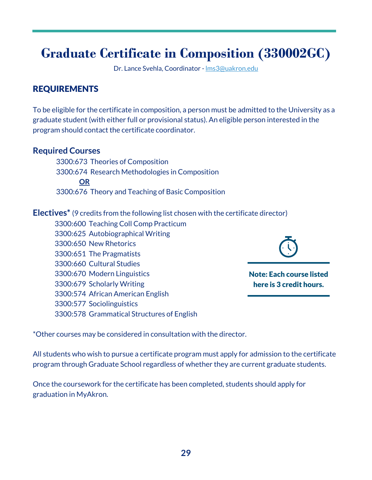## **Graduate Certificate in Composition (330002GC)**

Dr. Lance Svehla, Coordinator [- lms3@uakron.edu](mailto:lms3@uakron.edu) 

### REQUIREMENTS

To be eligible for the certificate in composition, a person must be admitted to the University as a graduate student (with either full or provisional status). An eligible person interested in the program should contact the certificate coordinator.

#### **Required Courses**

 3300:673 Theories of Composition 3300:674 Research Methodologies in Composition **OR**  3300:676 Theory and Teaching of Basic Composition

#### **Electives\*** (9 credits from the following list chosen with the certificate director)

3300:600 Teaching Coll Comp Practicum 3300:625 Autobiographical Writing 3300:650 New Rhetorics 3300:651 The Pragmatists 3300:660 Cultural Studies 3300:670 Modern Linguistics 3300:679 Scholarly Writing 3300:574 African American English 3300:577 Sociolinguistics 3300:578 Grammatical Structures of English



Note: Each course listed here is 3 credit hours.

\*Other courses may be considered in consultation with the director.

All students who wish to pursue a certificate program must apply for admission to the certificate program through Graduate School regardless of whether they are current graduate students.

Once the coursework for the certificate has been completed, students should apply for graduation in MyAkron.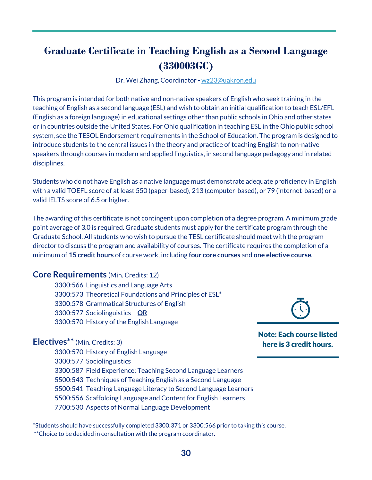### **Graduate Certificate in Teaching English as a Second Language (330003GC)**

Dr. Wei Zhang, Coordinator - [wz23@uakron.edu](mailto:wz23@uakron.edu) 

This program is intended for both native and non-native speakers of English who seek training in the teaching of English as a second language (ESL) and wish to obtain an initial qualification to teach ESL/EFL (English as a foreign language) in educational settings other than public schools in Ohio and other states or in countries outside the United States. For Ohio qualification in teaching ESL in the Ohio public school system, see the TESOL Endorsement requirements in the School of Education. The program is designed to introduce students to the central issues in the theory and practice of teaching English to non-native speakers through courses in modern and applied linguistics, in second language pedagogy and in related disciplines.

Students who do not have English as a native language must demonstrate adequate proficiency in English with a valid TOEFL score of at least 550 (paper-based), 213 (computer-based), or 79 (internet-based) or a valid IELTS score of 6.5 or higher.

The awarding of this certificate is not contingent upon completion of a degree program. A minimum grade point average of 3.0 is required. Graduate students must apply for the certificate program through the Graduate School. All students who wish to pursue the TESL certificate should meet with the program director to discuss the program and availability of courses. The certificate requires the completion of a minimum of **15 credit hours** of course work, including **four core courses** and **one elective course**.

#### **Core Requirements** (Min. Credits: 12)

3300:566 Linguistics and Language Arts 3300:573 Theoretical Foundations and Principles of ESL\* 3300:578 Grammatical Structures of English 3300:577 Sociolinguistics **OR** 3300:570 History of the English Language

#### **Electives\*\*** (Min. Credits: 3)

3300:570 History of English Language 3300:577 Sociolinguistics 3300:587 Field Experience: Teaching Second Language Learners 5500:543 Techniques of Teaching English as a Second Language 5500:541 Teaching Language Literacy to Second Language Learners 5500:556 Scaffolding Language and Content for English Learners 7700:530 Aspects of Normal Language Development

\*Students should have successfully completed 3300:371 or 3300:566 prior to taking this course. \*\*Choice to be decided in consultation with the program coordinator.

Note: Each course listed here is 3 credit hours.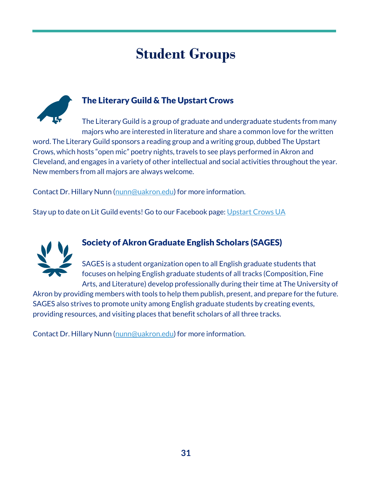## **Student Groups**



### The Literary Guild & The Upstart Crows

The Literary Guild is a group of graduate and undergraduate students from many majors who are interested in literature and share a common love for the written word. The Literary Guild sponsors a reading group and a writing group, dubbed The Upstart Crows, which hosts "open mic" poetry nights, travels to see plays performed in Akron and Cleveland, and engages in a variety of other intellectual and social activities throughout the year. New members from all majors are always welcome.

Contact Dr. Hillary Nunn [\(nunn@uakron.edu\)](mailto:nunn@uakron.edu) for more information.

Stay up to date on Lit Guild events! Go to our Facebook page: [Upstart Crows UA](https://www.facebook.com/TheUpstartCrowsUA)



### Society of Akron Graduate English Scholars (SAGES)

SAGES is a student organization open to all English graduate students that focuses on helping English graduate students of all tracks (Composition, Fine Arts, and Literature) develop professionally during their time at The University of

Akron by providing members with tools to help them publish, present, and prepare for the future. SAGES also strives to promote unity among English graduate students by creating events, providing resources, and visiting places that benefit scholars of all three tracks.

Contact Dr. Hillary Nunn [\(nunn@uakron.edu\)](mailto:nunn@uakron.edu) for more information.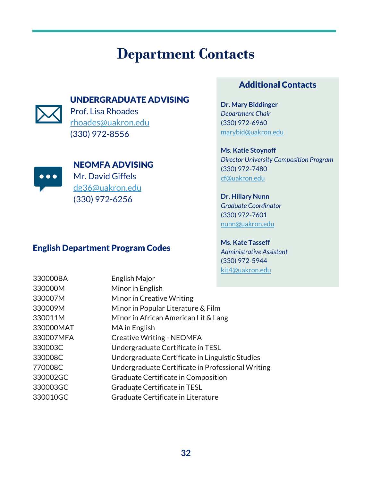## **Department Contacts**

#### UNDERGRADUATE ADVISING



Prof. Lisa Rhoades [rhoades@uakron.edu](mailto:rhoades@uakron.edu) (330) 972-8556



NEOMFA ADVISING

Mr. David Giffels [dg36@uakron.edu](mailto:dg36@uakron.edu) (330) 972-6256

#### English Department Program Codes

### Additional Contacts

**Dr. Mary Biddinger** *Department Chair* (330) 972-6960 [marybid@uakron.edu](mailto:marybid@uakron.edu) 

**Ms. Katie Stoynoff** *Director University Composition Program* (330) 972-7480 [cf@uakron.edu](mailto:cf@uakron.edu) 

**Dr. Hillary Nunn** *Graduate Coordinator* (330) 972-7601 [nunn@uakron.edu](mailto:nunn@uakron.edu) 

**Ms. Kate Tasseff** *Administrative Assistant* (330) 972-5944 [kit4@uakron.edu](mailto:kit4@uakron.edu) 

| 330000BA  | English Major                                     |
|-----------|---------------------------------------------------|
| 330000M   | Minor in English                                  |
| 330007M   | Minor in Creative Writing                         |
| 330009M   | Minor in Popular Literature & Film                |
| 330011M   | Minor in African American Lit & Lang              |
| 330000MAT | MA in English                                     |
| 330007MFA | <b>Creative Writing - NEOMFA</b>                  |
| 330003C   | Undergraduate Certificate in TESL                 |
| 330008C   | Undergraduate Certificate in Linguistic Studies   |
| 770008C   | Undergraduate Certificate in Professional Writing |
| 330002GC  | Graduate Certificate in Composition               |
| 330003GC  | <b>Graduate Certificate in TESL</b>               |
| 330010GC  | Graduate Certificate in Literature                |